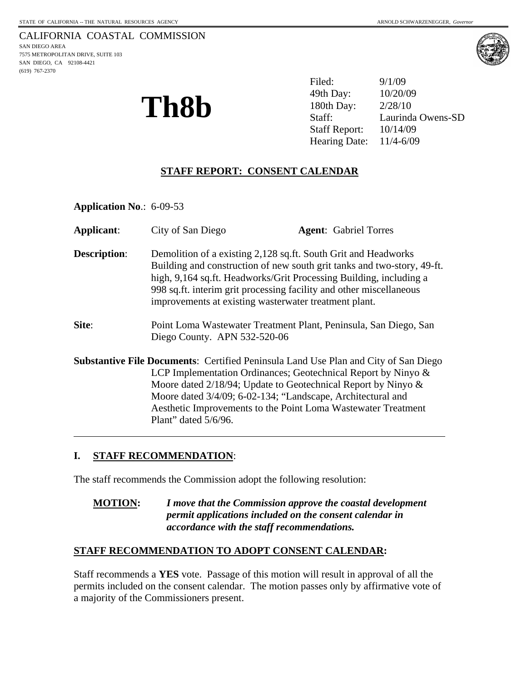



**Th8b** <sup>49th Day: 10/20/09<br>180th Day: 2/28/10<br>Staff: Laurinda</sup> Filed: 9/1/09 49th Day: Laurinda Owens-SD Staff Report: 10/14/09 Hearing Date: 11/4-6/09

## **STAFF REPORT: CONSENT CALENDAR**

**Application No**.: 6-09-53

| <b>Applicant:</b>   | City of San Diego                                                                                                                                                                                                                                                                                                                                                                             |  | <b>Agent:</b> Gabriel Torres |
|---------------------|-----------------------------------------------------------------------------------------------------------------------------------------------------------------------------------------------------------------------------------------------------------------------------------------------------------------------------------------------------------------------------------------------|--|------------------------------|
| <b>Description:</b> | Demolition of a existing 2,128 sq.ft. South Grit and Headworks<br>Building and construction of new south grit tanks and two-story, 49-ft.<br>high, 9,164 sq.ft. Headworks/Grit Processing Building, including a<br>998 sq.ft. interim grit processing facility and other miscellaneous<br>improvements at existing wasterwater treatment plant.                                               |  |                              |
| Site:               | Point Loma Wastewater Treatment Plant, Peninsula, San Diego, San<br>Diego County. APN 532-520-06                                                                                                                                                                                                                                                                                              |  |                              |
|                     | <b>Substantive File Documents: Certified Peninsula Land Use Plan and City of San Diego</b><br>LCP Implementation Ordinances; Geotechnical Report by Ninyo $\&$<br>Moore dated $2/18/94$ ; Update to Geotechnical Report by Ninyo $\&$<br>Moore dated 3/4/09; 6-02-134; "Landscape, Architectural and<br>Aesthetic Improvements to the Point Loma Wastewater Treatment<br>Plant" dated 5/6/96. |  |                              |

# **I. STAFF RECOMMENDATION**:

The staff recommends the Commission adopt the following resolution:

## **MOTION:** *I move that the Commission approve the coastal development permit applications included on the consent calendar in accordance with the staff recommendations.*

#### **STAFF RECOMMENDATION TO ADOPT CONSENT CALENDAR:**

Staff recommends a **YES** vote. Passage of this motion will result in approval of all the permits included on the consent calendar. The motion passes only by affirmative vote of a majority of the Commissioners present.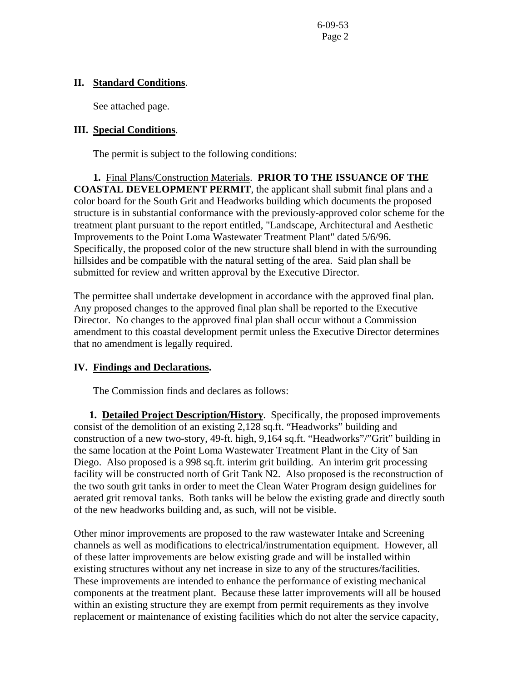#### **II. Standard Conditions**.

See attached page.

## **III. Special Conditions**.

The permit is subject to the following conditions:

**1.** Final Plans/Construction Materials. **PRIOR TO THE ISSUANCE OF THE COASTAL DEVELOPMENT PERMIT**, the applicant shall submit final plans and a color board for the South Grit and Headworks building which documents the proposed structure is in substantial conformance with the previously-approved color scheme for the treatment plant pursuant to the report entitled, "Landscape, Architectural and Aesthetic Improvements to the Point Loma Wastewater Treatment Plant" dated 5/6/96. Specifically, the proposed color of the new structure shall blend in with the surrounding hillsides and be compatible with the natural setting of the area. Said plan shall be submitted for review and written approval by the Executive Director.

The permittee shall undertake development in accordance with the approved final plan. Any proposed changes to the approved final plan shall be reported to the Executive Director. No changes to the approved final plan shall occur without a Commission amendment to this coastal development permit unless the Executive Director determines that no amendment is legally required.

# **IV. Findings and Declarations.**

The Commission finds and declares as follows:

 **1. Detailed Project Description/History**. Specifically, the proposed improvements consist of the demolition of an existing 2,128 sq.ft. "Headworks" building and construction of a new two-story, 49-ft. high, 9,164 sq.ft. "Headworks"/"Grit" building in the same location at the Point Loma Wastewater Treatment Plant in the City of San Diego. Also proposed is a 998 sq.ft. interim grit building. An interim grit processing facility will be constructed north of Grit Tank N2. Also proposed is the reconstruction of the two south grit tanks in order to meet the Clean Water Program design guidelines for aerated grit removal tanks. Both tanks will be below the existing grade and directly south of the new headworks building and, as such, will not be visible.

Other minor improvements are proposed to the raw wastewater Intake and Screening channels as well as modifications to electrical/instrumentation equipment. However, all of these latter improvements are below existing grade and will be installed within existing structures without any net increase in size to any of the structures/facilities. These improvements are intended to enhance the performance of existing mechanical components at the treatment plant. Because these latter improvements will all be housed within an existing structure they are exempt from permit requirements as they involve replacement or maintenance of existing facilities which do not alter the service capacity,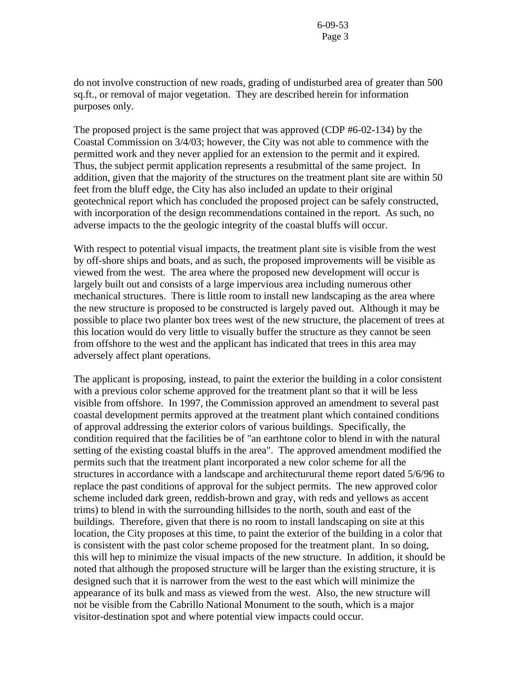do not involve construction of new roads, grading of undisturbed area of greater than 500 sq.ft., or removal of major vegetation. They are described herein for information purposes only.

The proposed project is the same project that was approved (CDP #6-02-134) by the Coastal Commission on 3/4/03; however, the City was not able to commence with the permitted work and they never applied for an extension to the permit and it expired. Thus, the subject permit application represents a resubmittal of the same project. In addition, given that the majority of the structures on the treatment plant site are within 50 feet from the bluff edge, the City has also included an update to their original geotechnical report which has concluded the proposed project can be safely constructed, with incorporation of the design recommendations contained in the report. As such, no adverse impacts to the the geologic integrity of the coastal bluffs will occur.

With respect to potential visual impacts, the treatment plant site is visible from the west by off-shore ships and boats, and as such, the proposed improvements will be visible as viewed from the west. The area where the proposed new development will occur is largely built out and consists of a large impervious area including numerous other mechanical structures. There is little room to install new landscaping as the area where the new structure is proposed to be constructed is largely paved out. Although it may be possible to place two planter box trees west of the new structure, the placement of trees at this location would do very little to visually buffer the structure as they cannot be seen from offshore to the west and the applicant has indicated that trees in this area may adversely affect plant operations.

The applicant is proposing, instead, to paint the exterior the building in a color consistent with a previous color scheme approved for the treatment plant so that it will be less visible from offshore. In 1997, the Commission approved an amendment to several past coastal development permits approved at the treatment plant which contained conditions of approval addressing the exterior colors of various buildings. Specifically, the condition required that the facilities be of "an earthtone color to blend in with the natural setting of the existing coastal bluffs in the area". The approved amendment modified the permits such that the treatment plant incorporated a new color scheme for all the structures in accordance with a landscape and architecturural theme report dated 5/6/96 to replace the past conditions of approval for the subject permits. The new approved color scheme included dark green, reddish-brown and gray, with reds and yellows as accent trims) to blend in with the surrounding hillsides to the north, south and east of the buildings. Therefore, given that there is no room to install landscaping on site at this location, the City proposes at this time, to paint the exterior of the building in a color that is consistent with the past color scheme proposed for the treatment plant. In so doing, this will hep to minimize the visual impacts of the new structure. In addition, it should be noted that although the proposed structure will be larger than the existing structure, it is designed such that it is narrower from the west to the east which will minimize the appearance of its bulk and mass as viewed from the west. Also, the new structure will not be visible from the Cabrillo National Monument to the south, which is a major visitor-destination spot and where potential view impacts could occur.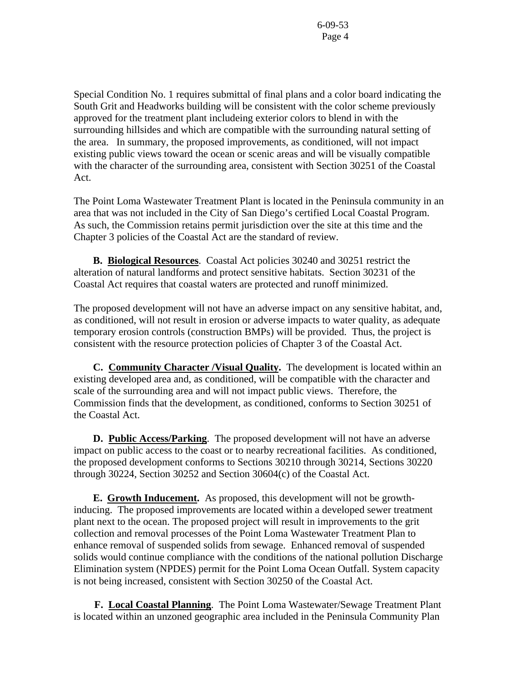Special Condition No. 1 requires submittal of final plans and a color board indicating the South Grit and Headworks building will be consistent with the color scheme previously approved for the treatment plant includeing exterior colors to blend in with the surrounding hillsides and which are compatible with the surrounding natural setting of the area. In summary, the proposed improvements, as conditioned, will not impact existing public views toward the ocean or scenic areas and will be visually compatible with the character of the surrounding area, consistent with Section 30251 of the Coastal Act.

The Point Loma Wastewater Treatment Plant is located in the Peninsula community in an area that was not included in the City of San Diego's certified Local Coastal Program. As such, the Commission retains permit jurisdiction over the site at this time and the Chapter 3 policies of the Coastal Act are the standard of review.

 **B. Biological Resources**. Coastal Act policies 30240 and 30251 restrict the alteration of natural landforms and protect sensitive habitats. Section 30231 of the Coastal Act requires that coastal waters are protected and runoff minimized.

The proposed development will not have an adverse impact on any sensitive habitat, and, as conditioned, will not result in erosion or adverse impacts to water quality, as adequate temporary erosion controls (construction BMPs) will be provided. Thus, the project is consistent with the resource protection policies of Chapter 3 of the Coastal Act.

 **C. Community Character /Visual Quality.** The development is located within an existing developed area and, as conditioned, will be compatible with the character and scale of the surrounding area and will not impact public views. Therefore, the Commission finds that the development, as conditioned, conforms to Section 30251 of the Coastal Act.

**D. Public Access/Parking**. The proposed development will not have an adverse impact on public access to the coast or to nearby recreational facilities. As conditioned, the proposed development conforms to Sections 30210 through 30214, Sections 30220 through 30224, Section 30252 and Section 30604(c) of the Coastal Act.

**E. Growth Inducement.** As proposed, this development will not be growthinducing. The proposed improvements are located within a developed sewer treatment plant next to the ocean. The proposed project will result in improvements to the grit collection and removal processes of the Point Loma Wastewater Treatment Plan to enhance removal of suspended solids from sewage. Enhanced removal of suspended solids would continue compliance with the conditions of the national pollution Discharge Elimination system (NPDES) permit for the Point Loma Ocean Outfall. System capacity is not being increased, consistent with Section 30250 of the Coastal Act.

 **F. Local Coastal Planning**. The Point Loma Wastewater/Sewage Treatment Plant is located within an unzoned geographic area included in the Peninsula Community Plan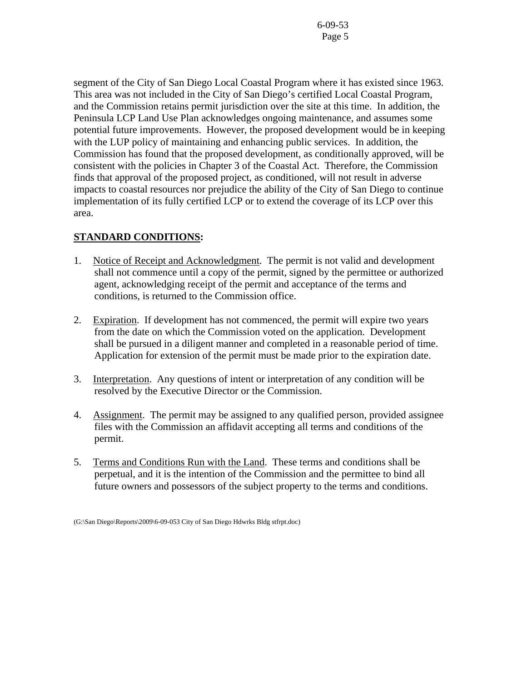segment of the City of San Diego Local Coastal Program where it has existed since 1963. This area was not included in the City of San Diego's certified Local Coastal Program, and the Commission retains permit jurisdiction over the site at this time. In addition, the Peninsula LCP Land Use Plan acknowledges ongoing maintenance, and assumes some potential future improvements. However, the proposed development would be in keeping with the LUP policy of maintaining and enhancing public services. In addition, the Commission has found that the proposed development, as conditionally approved, will be consistent with the policies in Chapter 3 of the Coastal Act. Therefore, the Commission finds that approval of the proposed project, as conditioned, will not result in adverse impacts to coastal resources nor prejudice the ability of the City of San Diego to continue implementation of its fully certified LCP or to extend the coverage of its LCP over this area.

# **STANDARD CONDITIONS:**

- 1. Notice of Receipt and Acknowledgment. The permit is not valid and development shall not commence until a copy of the permit, signed by the permittee or authorized agent, acknowledging receipt of the permit and acceptance of the terms and conditions, is returned to the Commission office.
- 2. Expiration. If development has not commenced, the permit will expire two years from the date on which the Commission voted on the application. Development shall be pursued in a diligent manner and completed in a reasonable period of time. Application for extension of the permit must be made prior to the expiration date.
- 3. Interpretation. Any questions of intent or interpretation of any condition will be resolved by the Executive Director or the Commission.
- 4. Assignment. The permit may be assigned to any qualified person, provided assignee files with the Commission an affidavit accepting all terms and conditions of the permit.
- 5. Terms and Conditions Run with the Land. These terms and conditions shall be perpetual, and it is the intention of the Commission and the permittee to bind all future owners and possessors of the subject property to the terms and conditions.

<sup>(</sup>G:\San Diego\Reports\2009\6-09-053 City of San Diego Hdwrks Bldg stfrpt.doc)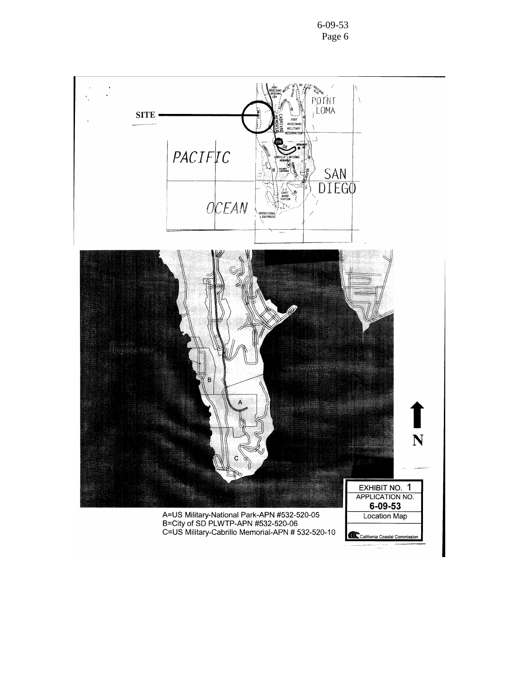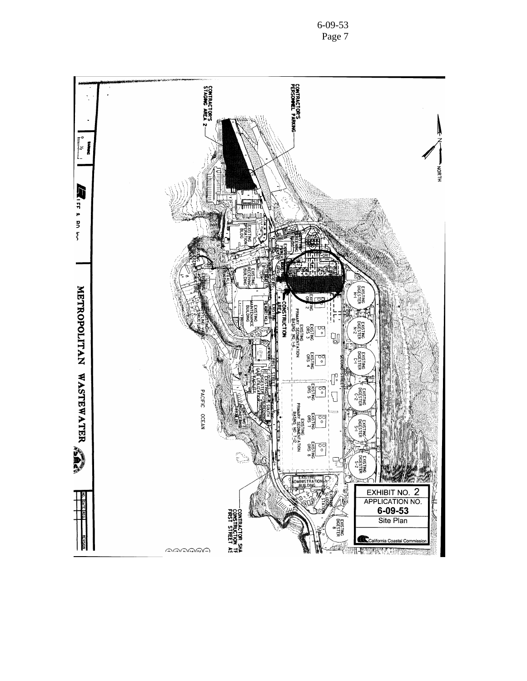

6-09-53 Page 7